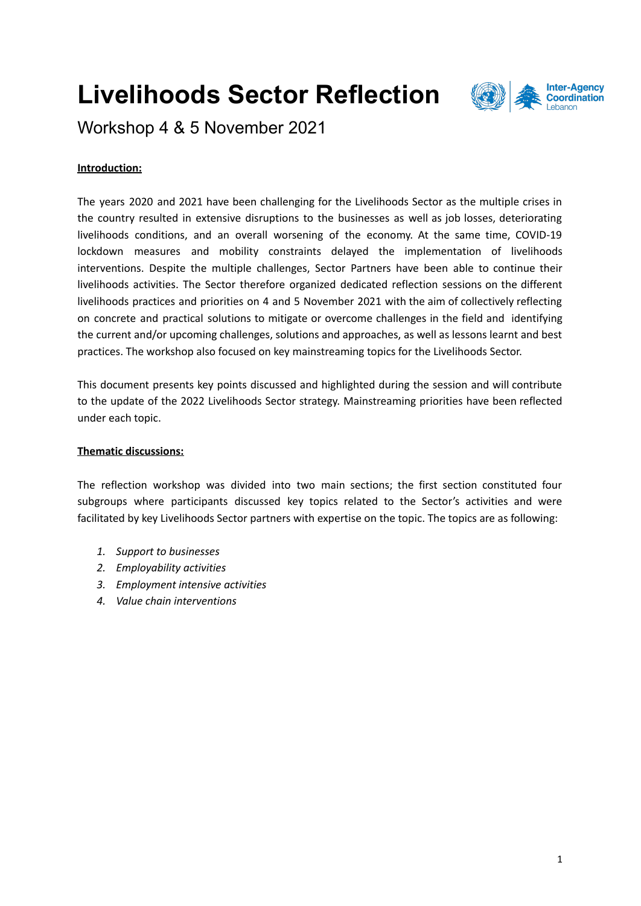# **Livelihoods Sector Reflection**



Workshop 4 & 5 November 2021

## **Introduction:**

The years 2020 and 2021 have been challenging for the Livelihoods Sector as the multiple crises in the country resulted in extensive disruptions to the businesses as well as job losses, deteriorating livelihoods conditions, and an overall worsening of the economy. At the same time, COVID-19 lockdown measures and mobility constraints delayed the implementation of livelihoods interventions. Despite the multiple challenges, Sector Partners have been able to continue their livelihoods activities. The Sector therefore organized dedicated reflection sessions on the different livelihoods practices and priorities on 4 and 5 November 2021 with the aim of collectively reflecting on concrete and practical solutions to mitigate or overcome challenges in the field and identifying the current and/or upcoming challenges, solutions and approaches, as well as lessons learnt and best practices. The workshop also focused on key mainstreaming topics for the Livelihoods Sector.

This document presents key points discussed and highlighted during the session and will contribute to the update of the 2022 Livelihoods Sector strategy. Mainstreaming priorities have been reflected under each topic.

#### **Thematic discussions:**

The reflection workshop was divided into two main sections; the first section constituted four subgroups where participants discussed key topics related to the Sector's activities and were facilitated by key Livelihoods Sector partners with expertise on the topic. The topics are as following:

- *1. Support to businesses*
- *2. Employability activities*
- *3. Employment intensive activities*
- *4. Value chain interventions*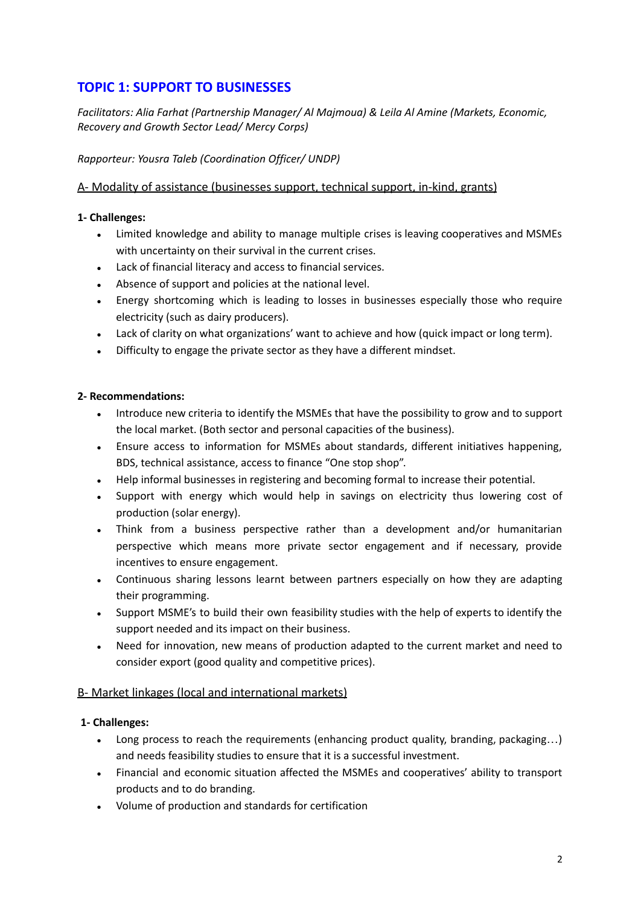# **TOPIC 1: SUPPORT TO BUSINESSES**

*Facilitators: Alia Farhat (Partnership Manager/ Al Majmoua) & Leila Al Amine (Markets, Economic, Recovery and Growth Sector Lead/ Mercy Corps)*

#### *Rapporteur: Yousra Taleb (Coordination Officer/ UNDP)*

#### A- Modality of assistance (businesses support, technical support, in-kind, grants)

#### **1- Challenges:**

- Limited knowledge and ability to manage multiple crises is leaving cooperatives and MSMEs with uncertainty on their survival in the current crises.
- Lack of financial literacy and access to financial services.
- Absence of support and policies at the national level.
- Energy shortcoming which is leading to losses in businesses especially those who require electricity (such as dairy producers).
- Lack of clarity on what organizations' want to achieve and how (quick impact or long term).
- Difficulty to engage the private sector as they have a different mindset.

#### **2- Recommendations:**

- Introduce new criteria to identify the MSMEs that have the possibility to grow and to support the local market. (Both sector and personal capacities of the business).
- Ensure access to information for MSMEs about standards, different initiatives happening, BDS, technical assistance, access to finance "One stop shop".
- Help informal businesses in registering and becoming formal to increase their potential.
- Support with energy which would help in savings on electricity thus lowering cost of production (solar energy).
- Think from a business perspective rather than a development and/or humanitarian perspective which means more private sector engagement and if necessary, provide incentives to ensure engagement.
- Continuous sharing lessons learnt between partners especially on how they are adapting their programming.
- Support MSME's to build their own feasibility studies with the help of experts to identify the support needed and its impact on their business.
- Need for innovation, new means of production adapted to the current market and need to consider export (good quality and competitive prices).

#### B- Market linkages (local and international markets)

#### **1- Challenges:**

- Long process to reach the requirements (enhancing product quality, branding, packaging...) and needs feasibility studies to ensure that it is a successful investment.
- Financial and economic situation affected the MSMEs and cooperatives' ability to transport products and to do branding.
- Volume of production and standards for certification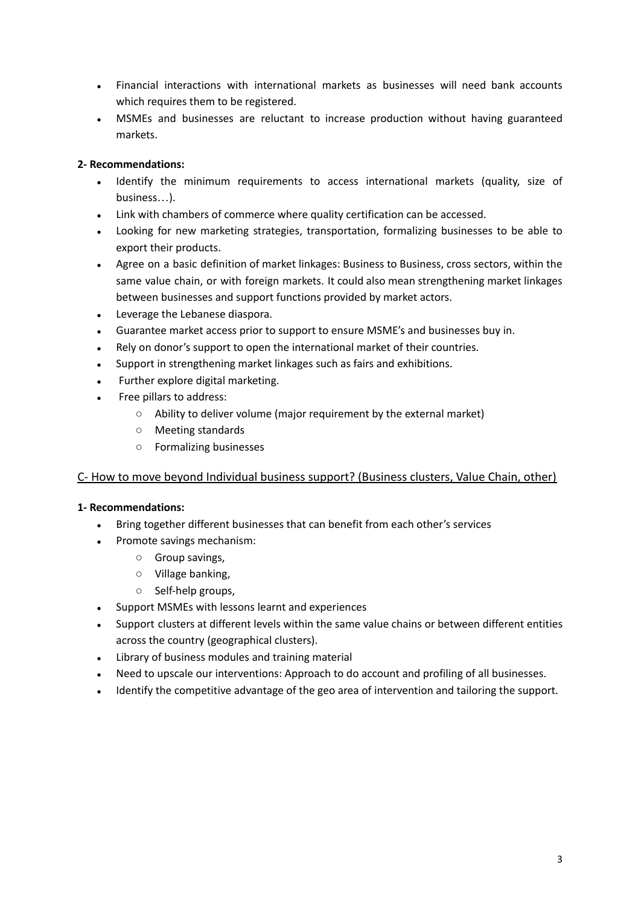- Financial interactions with international markets as businesses will need bank accounts which requires them to be registered.
- MSMEs and businesses are reluctant to increase production without having guaranteed markets.

## **2- Recommendations:**

- Identify the minimum requirements to access international markets (quality, size of business…).
- Link with chambers of commerce where quality certification can be accessed.
- Looking for new marketing strategies, transportation, formalizing businesses to be able to export their products.
- Agree on a basic definition of market linkages: Business to Business, cross sectors, within the same value chain, or with foreign markets. It could also mean strengthening market linkages between businesses and support functions provided by market actors.
- Leverage the Lebanese diaspora.
- Guarantee market access prior to support to ensure MSME's and businesses buy in.
- Rely on donor's support to open the international market of their countries.
- Support in strengthening market linkages such as fairs and exhibitions.
- Further explore digital marketing.
- Free pillars to address:
	- Ability to deliver volume (major requirement by the external market)
	- Meeting standards
	- Formalizing businesses

#### C- How to move beyond Individual business support? (Business clusters, Value Chain, other)

- Bring together different businesses that can benefit from each other's services
- Promote savings mechanism:
	- Group savings,
	- Village banking,
	- Self-help groups,
- Support MSMEs with lessons learnt and experiences
- Support clusters at different levels within the same value chains or between different entities across the country (geographical clusters).
- Library of business modules and training material
- Need to upscale our interventions: Approach to do account and profiling of all businesses.
- Identify the competitive advantage of the geo area of intervention and tailoring the support.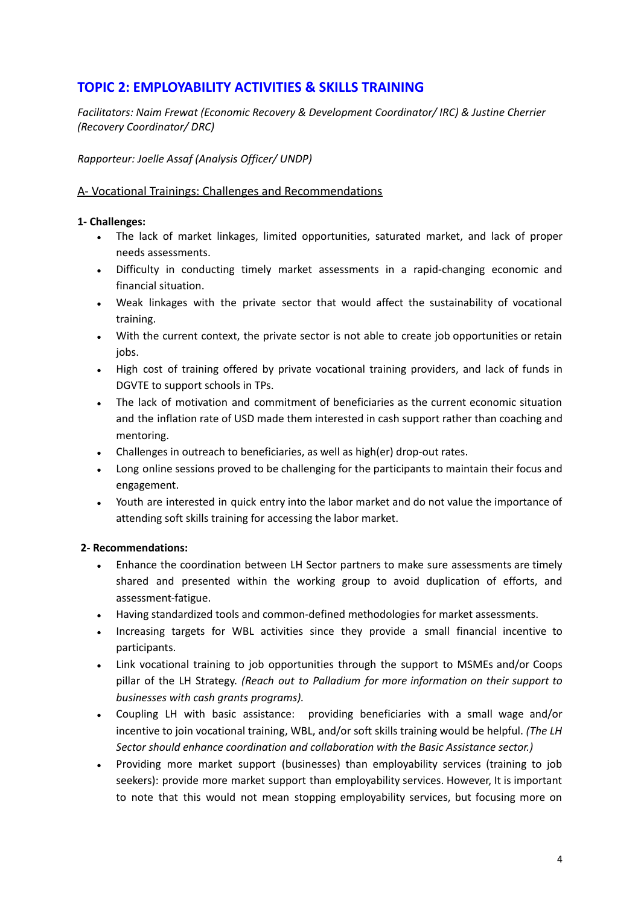# **TOPIC 2: EMPLOYABILITY ACTIVITIES & SKILLS TRAINING**

*Facilitators: Naim Frewat (Economic Recovery & Development Coordinator/ IRC) & Justine Cherrier (Recovery Coordinator/ DRC)*

#### *Rapporteur: Joelle Assaf (Analysis Officer/ UNDP)*

#### A- Vocational Trainings: Challenges and Recommendations

#### **1- Challenges:**

- The lack of market linkages, limited opportunities, saturated market, and lack of proper needs assessments.
- Difficulty in conducting timely market assessments in a rapid-changing economic and financial situation.
- Weak linkages with the private sector that would affect the sustainability of vocational training.
- With the current context, the private sector is not able to create job opportunities or retain jobs.
- High cost of training offered by private vocational training providers, and lack of funds in DGVTE to support schools in TPs.
- The lack of motivation and commitment of beneficiaries as the current economic situation and the inflation rate of USD made them interested in cash support rather than coaching and mentoring.
- Challenges in outreach to beneficiaries, as well as high(er) drop-out rates.
- Long online sessions proved to be challenging for the participants to maintain their focus and engagement.
- Youth are interested in quick entry into the labor market and do not value the importance of attending soft skills training for accessing the labor market.

- Enhance the coordination between LH Sector partners to make sure assessments are timely shared and presented within the working group to avoid duplication of efforts, and assessment-fatigue.
- Having standardized tools and common-defined methodologies for market assessments.
- Increasing targets for WBL activities since they provide a small financial incentive to participants.
- Link vocational training to job opportunities through the support to MSMEs and/or Coops pillar of the LH Strategy. *(Reach out to Palladium for more information on their support to businesses with cash grants programs).*
- Coupling LH with basic assistance: providing beneficiaries with a small wage and/or incentive to join vocational training, WBL, and/or soft skills training would be helpful. *(The LH Sector should enhance coordination and collaboration with the Basic Assistance sector.)*
- Providing more market support (businesses) than employability services (training to job seekers): provide more market support than employability services. However, It is important to note that this would not mean stopping employability services, but focusing more on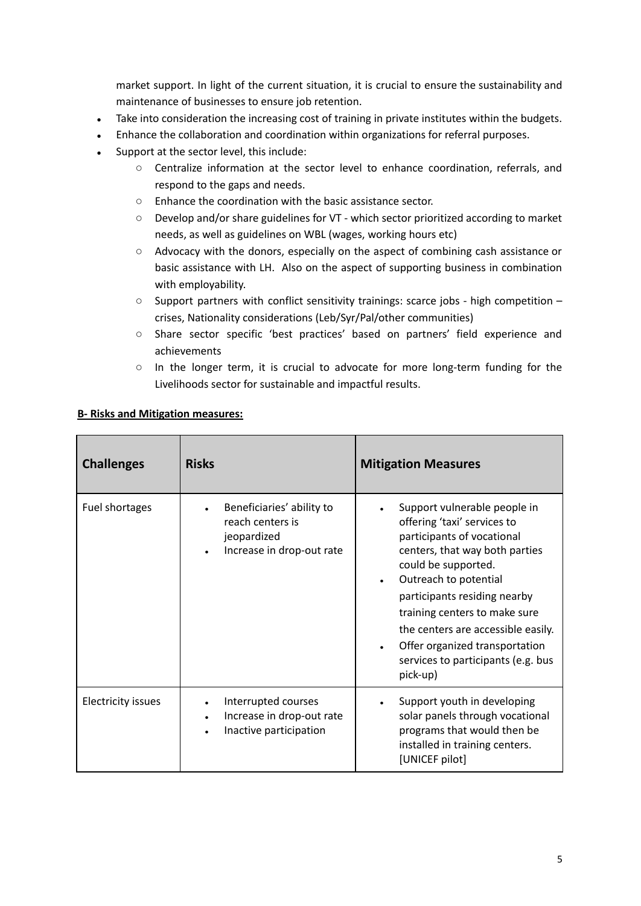market support. In light of the current situation, it is crucial to ensure the sustainability and maintenance of businesses to ensure job retention.

- Take into consideration the increasing cost of training in private institutes within the budgets.
- Enhance the collaboration and coordination within organizations for referral purposes.
- Support at the sector level, this include:
	- Centralize information at the sector level to enhance coordination, referrals, and respond to the gaps and needs.
	- Enhance the coordination with the basic assistance sector.
	- Develop and/or share guidelines for VT which sector prioritized according to market needs, as well as guidelines on WBL (wages, working hours etc)
	- Advocacy with the donors, especially on the aspect of combining cash assistance or basic assistance with LH. Also on the aspect of supporting business in combination with employability.
	- $\circ$  Support partners with conflict sensitivity trainings: scarce jobs high competition crises, Nationality considerations (Leb/Syr/Pal/other communities)
	- Share sector specific 'best practices' based on partners' field experience and achievements
	- In the longer term, it is crucial to advocate for more long-term funding for the Livelihoods sector for sustainable and impactful results.

| <b>Challenges</b>         | <b>Risks</b>                                                                              | <b>Mitigation Measures</b>                                                                                                                                                                                                                                                                                                                                             |
|---------------------------|-------------------------------------------------------------------------------------------|------------------------------------------------------------------------------------------------------------------------------------------------------------------------------------------------------------------------------------------------------------------------------------------------------------------------------------------------------------------------|
| Fuel shortages            | Beneficiaries' ability to<br>reach centers is<br>jeopardized<br>Increase in drop-out rate | Support vulnerable people in<br>offering 'taxi' services to<br>participants of vocational<br>centers, that way both parties<br>could be supported.<br>Outreach to potential<br>participants residing nearby<br>training centers to make sure<br>the centers are accessible easily.<br>Offer organized transportation<br>services to participants (e.g. bus<br>pick-up) |
| <b>Electricity issues</b> | Interrupted courses<br>Increase in drop-out rate<br>Inactive participation                | Support youth in developing<br>solar panels through vocational<br>programs that would then be<br>installed in training centers.<br>[UNICEF pilot]                                                                                                                                                                                                                      |

#### **B- Risks and Mitigation measures:**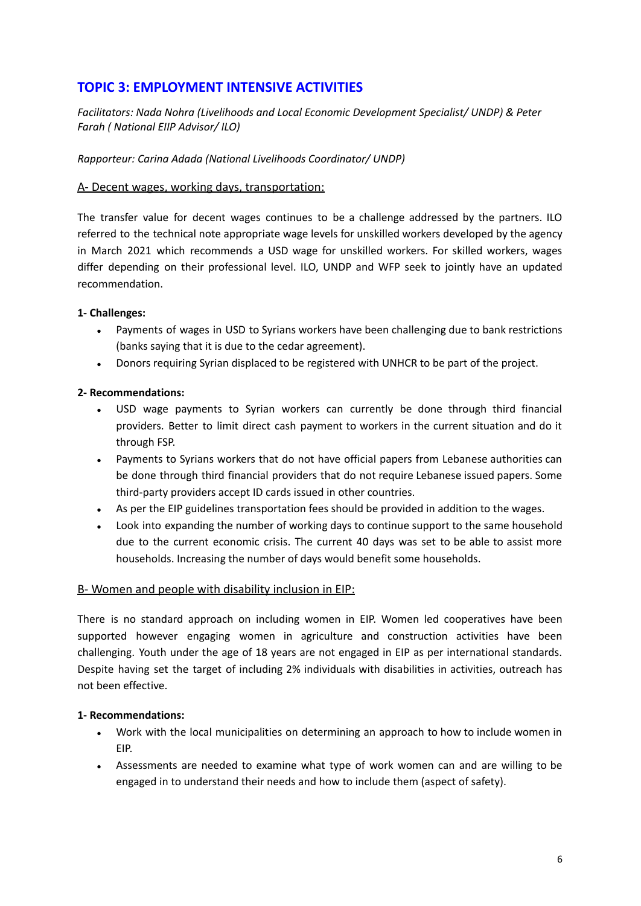# **TOPIC 3: EMPLOYMENT INTENSIVE ACTIVITIES**

## *Facilitators: Nada Nohra (Livelihoods and Local Economic Development Specialist/ UNDP) & Peter Farah ( National EIIP Advisor/ ILO)*

*Rapporteur: Carina Adada (National Livelihoods Coordinator/ UNDP)*

#### A- Decent wages, working days, transportation:

The transfer value for decent wages continues to be a challenge addressed by the partners. ILO referred to the technical note appropriate wage levels for unskilled workers developed by the agency in March 2021 which recommends a USD wage for unskilled workers. For skilled workers, wages differ depending on their professional level. ILO, UNDP and WFP seek to jointly have an updated recommendation.

#### **1- Challenges:**

- Payments of wages in USD to Syrians workers have been challenging due to bank restrictions (banks saying that it is due to the cedar agreement).
- Donors requiring Syrian displaced to be registered with UNHCR to be part of the project.

#### **2- Recommendations:**

- USD wage payments to Syrian workers can currently be done through third financial providers. Better to limit direct cash payment to workers in the current situation and do it through FSP.
- Payments to Syrians workers that do not have official papers from Lebanese authorities can be done through third financial providers that do not require Lebanese issued papers. Some third-party providers accept ID cards issued in other countries.
- As per the EIP guidelines transportation fees should be provided in addition to the wages.
- Look into expanding the number of working days to continue support to the same household due to the current economic crisis. The current 40 days was set to be able to assist more households. Increasing the number of days would benefit some households.

#### B- Women and people with disability inclusion in EIP:

There is no standard approach on including women in EIP. Women led cooperatives have been supported however engaging women in agriculture and construction activities have been challenging. Youth under the age of 18 years are not engaged in EIP as per international standards. Despite having set the target of including 2% individuals with disabilities in activities, outreach has not been effective.

- Work with the local municipalities on determining an approach to how to include women in EIP.
- Assessments are needed to examine what type of work women can and are willing to be engaged in to understand their needs and how to include them (aspect of safety).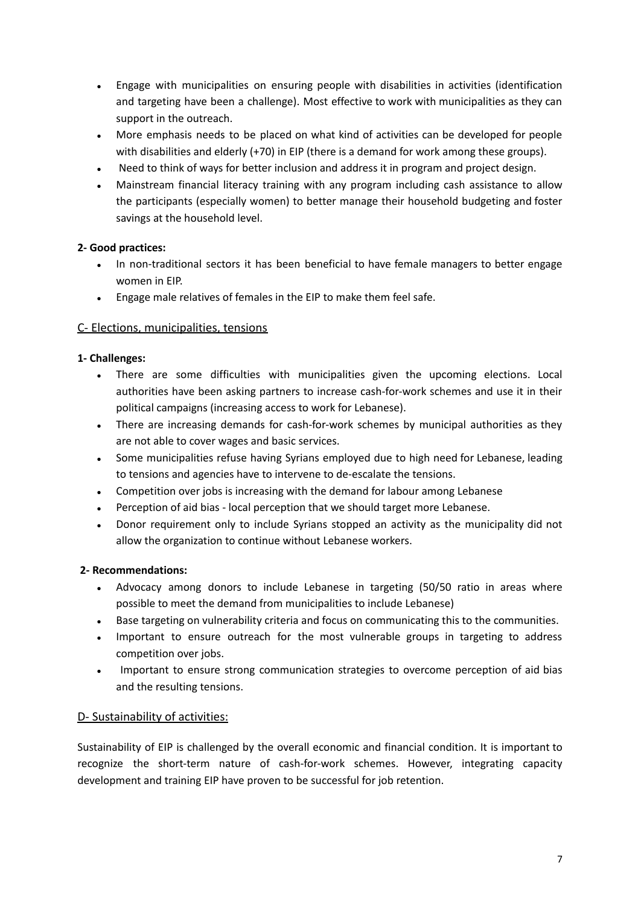- Engage with municipalities on ensuring people with disabilities in activities (identification and targeting have been a challenge). Most effective to work with municipalities as they can support in the outreach.
- More emphasis needs to be placed on what kind of activities can be developed for people with disabilities and elderly (+70) in EIP (there is a demand for work among these groups).
- Need to think of ways for better inclusion and address it in program and project design.
- Mainstream financial literacy training with any program including cash assistance to allow the participants (especially women) to better manage their household budgeting and foster savings at the household level.

#### **2- Good practices:**

- In non-traditional sectors it has been beneficial to have female managers to better engage women in EIP.
- Engage male relatives of females in the EIP to make them feel safe.

#### C- Elections, municipalities, tensions

#### **1- Challenges:**

- There are some difficulties with municipalities given the upcoming elections. Local authorities have been asking partners to increase cash-for-work schemes and use it in their political campaigns (increasing access to work for Lebanese).
- There are increasing demands for cash-for-work schemes by municipal authorities as they are not able to cover wages and basic services.
- Some municipalities refuse having Syrians employed due to high need for Lebanese, leading to tensions and agencies have to intervene to de-escalate the tensions.
- Competition over jobs is increasing with the demand for labour among Lebanese
- Perception of aid bias local perception that we should target more Lebanese.
- Donor requirement only to include Syrians stopped an activity as the municipality did not allow the organization to continue without Lebanese workers.

#### **2- Recommendations:**

- Advocacy among donors to include Lebanese in targeting (50/50 ratio in areas where possible to meet the demand from municipalities to include Lebanese)
- Base targeting on vulnerability criteria and focus on communicating this to the communities.
- Important to ensure outreach for the most vulnerable groups in targeting to address competition over jobs.
- Important to ensure strong communication strategies to overcome perception of aid bias and the resulting tensions.

#### D- Sustainability of activities:

Sustainability of EIP is challenged by the overall economic and financial condition. It is important to recognize the short-term nature of cash-for-work schemes. However, integrating capacity development and training EIP have proven to be successful for job retention.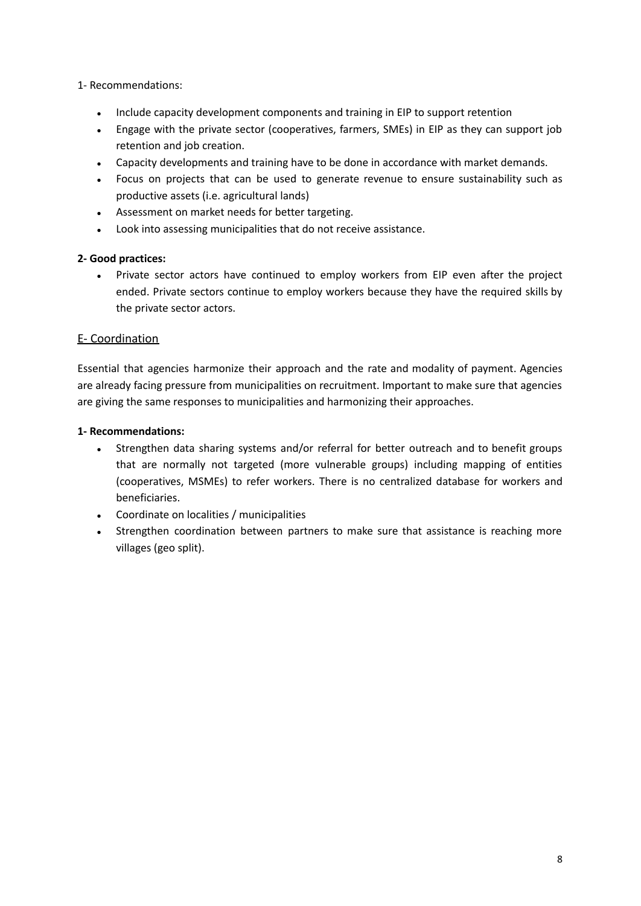#### 1- Recommendations:

- Include capacity development components and training in EIP to support retention
- Engage with the private sector (cooperatives, farmers, SMEs) in EIP as they can support job retention and job creation.
- Capacity developments and training have to be done in accordance with market demands.
- Focus on projects that can be used to generate revenue to ensure sustainability such as productive assets (i.e. agricultural lands)
- Assessment on market needs for better targeting.
- Look into assessing municipalities that do not receive assistance.

#### **2- Good practices:**

Private sector actors have continued to employ workers from EIP even after the project ended. Private sectors continue to employ workers because they have the required skills by the private sector actors.

## E- Coordination

Essential that agencies harmonize their approach and the rate and modality of payment. Agencies are already facing pressure from municipalities on recruitment. Important to make sure that agencies are giving the same responses to municipalities and harmonizing their approaches.

- Strengthen data sharing systems and/or referral for better outreach and to benefit groups that are normally not targeted (more vulnerable groups) including mapping of entities (cooperatives, MSMEs) to refer workers. There is no centralized database for workers and beneficiaries.
- Coordinate on localities / municipalities
- Strengthen coordination between partners to make sure that assistance is reaching more villages (geo split).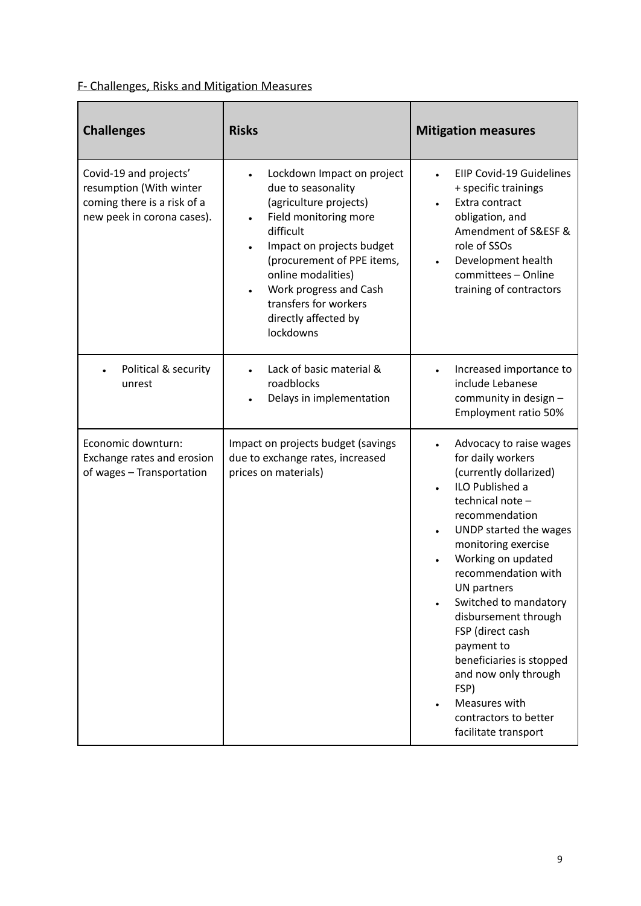# F- Challenges, Risks and Mitigation Measures

| <b>Challenges</b>                                                                                              | <b>Risks</b>                                                                                                                                                                                                                                                                              | <b>Mitigation measures</b>                                                                                                                                                                                                                                                                                                                                                                                                                                   |
|----------------------------------------------------------------------------------------------------------------|-------------------------------------------------------------------------------------------------------------------------------------------------------------------------------------------------------------------------------------------------------------------------------------------|--------------------------------------------------------------------------------------------------------------------------------------------------------------------------------------------------------------------------------------------------------------------------------------------------------------------------------------------------------------------------------------------------------------------------------------------------------------|
| Covid-19 and projects'<br>resumption (With winter<br>coming there is a risk of a<br>new peek in corona cases). | Lockdown Impact on project<br>due to seasonality<br>(agriculture projects)<br>Field monitoring more<br>difficult<br>Impact on projects budget<br>(procurement of PPE items,<br>online modalities)<br>Work progress and Cash<br>transfers for workers<br>directly affected by<br>lockdowns | <b>EIIP Covid-19 Guidelines</b><br>+ specific trainings<br>Extra contract<br>obligation, and<br>Amendment of S&ESF &<br>role of SSOs<br>Development health<br>committees - Online<br>training of contractors                                                                                                                                                                                                                                                 |
| Political & security<br>unrest                                                                                 | Lack of basic material &<br>roadblocks<br>Delays in implementation                                                                                                                                                                                                                        | Increased importance to<br>include Lebanese<br>community in design -<br>Employment ratio 50%                                                                                                                                                                                                                                                                                                                                                                 |
| Economic downturn:<br>Exchange rates and erosion<br>of wages - Transportation                                  | Impact on projects budget (savings<br>due to exchange rates, increased<br>prices on materials)                                                                                                                                                                                            | Advocacy to raise wages<br>for daily workers<br>(currently dollarized)<br>ILO Published a<br>technical note-<br>recommendation<br>UNDP started the wages<br>monitoring exercise<br>Working on updated<br>recommendation with<br>UN partners<br>Switched to mandatory<br>disbursement through<br>FSP (direct cash<br>payment to<br>beneficiaries is stopped<br>and now only through<br>FSP)<br>Measures with<br>contractors to better<br>facilitate transport |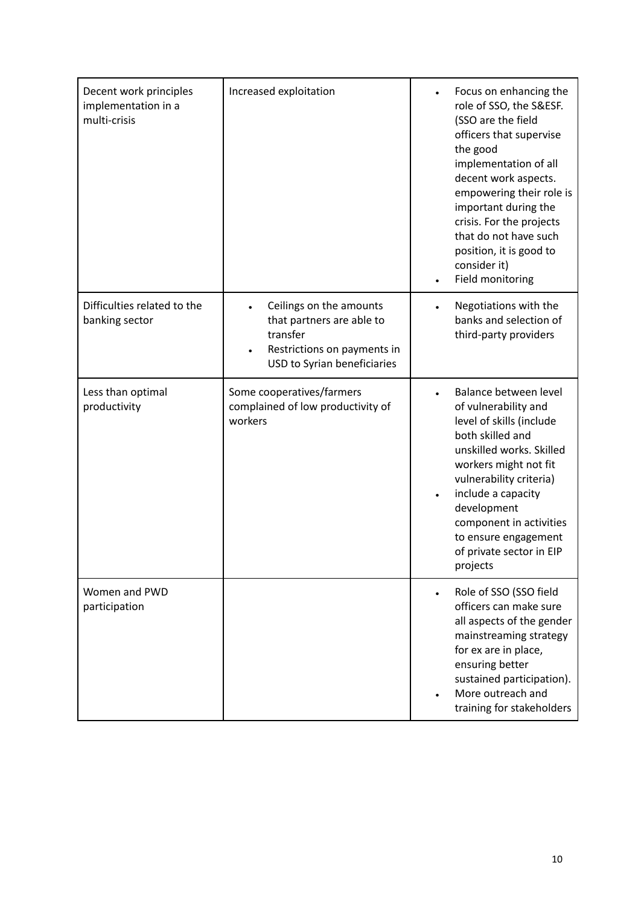| Decent work principles<br>implementation in a<br>multi-crisis | Increased exploitation                                                                                                         | Focus on enhancing the<br>role of SSO, the S&ESF.<br>(SSO are the field<br>officers that supervise<br>the good<br>implementation of all<br>decent work aspects.<br>empowering their role is<br>important during the<br>crisis. For the projects<br>that do not have such<br>position, it is good to<br>consider it)<br>Field monitoring |
|---------------------------------------------------------------|--------------------------------------------------------------------------------------------------------------------------------|-----------------------------------------------------------------------------------------------------------------------------------------------------------------------------------------------------------------------------------------------------------------------------------------------------------------------------------------|
| Difficulties related to the<br>banking sector                 | Ceilings on the amounts<br>that partners are able to<br>transfer<br>Restrictions on payments in<br>USD to Syrian beneficiaries | Negotiations with the<br>$\bullet$<br>banks and selection of<br>third-party providers                                                                                                                                                                                                                                                   |
| Less than optimal<br>productivity                             | Some cooperatives/farmers<br>complained of low productivity of<br>workers                                                      | Balance between level<br>of vulnerability and<br>level of skills (include<br>both skilled and<br>unskilled works. Skilled<br>workers might not fit<br>vulnerability criteria)<br>include a capacity<br>development<br>component in activities<br>to ensure engagement<br>of private sector in EIP<br>projects                           |
| Women and PWD<br>participation                                |                                                                                                                                | Role of SSO (SSO field<br>officers can make sure<br>all aspects of the gender<br>mainstreaming strategy<br>for ex are in place,<br>ensuring better<br>sustained participation).<br>More outreach and<br>training for stakeholders                                                                                                       |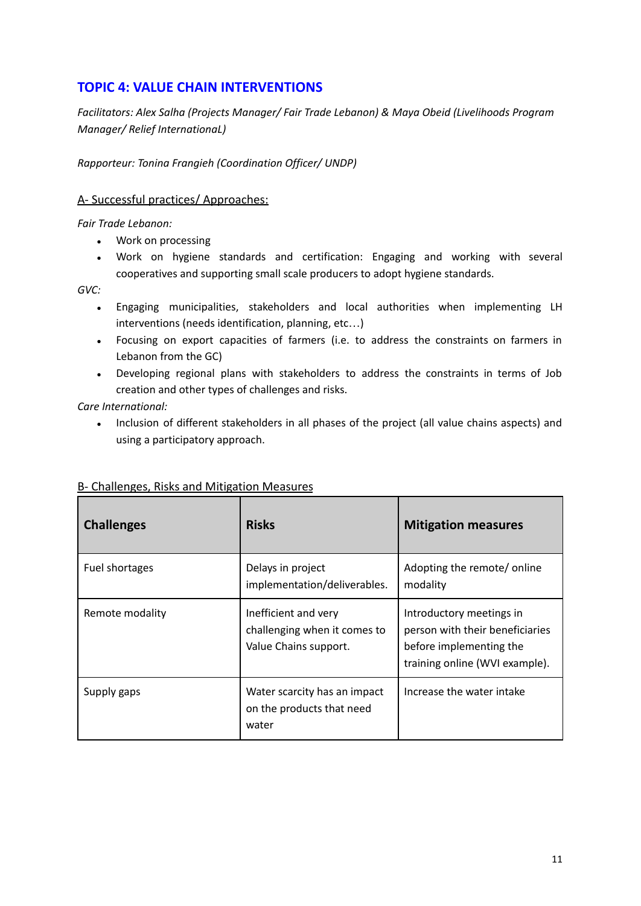# **TOPIC 4: VALUE CHAIN INTERVENTIONS**

*Facilitators: Alex Salha (Projects Manager/ Fair Trade Lebanon) & Maya Obeid (Livelihoods Program Manager/ Relief InternationaL)*

*Rapporteur: Tonina Frangieh (Coordination Officer/ UNDP)*

#### A- Successful practices/ Approaches:

*Fair Trade Lebanon:*

- Work on processing
- Work on hygiene standards and certification: Engaging and working with several cooperatives and supporting small scale producers to adopt hygiene standards.

*GVC:*

- Engaging municipalities, stakeholders and local authorities when implementing LH interventions (needs identification, planning, etc…)
- Focusing on export capacities of farmers (i.e. to address the constraints on farmers in Lebanon from the GC)
- Developing regional plans with stakeholders to address the constraints in terms of Job creation and other types of challenges and risks.

*Care International:*

• Inclusion of different stakeholders in all phases of the project (all value chains aspects) and using a participatory approach.

| <b>Challenges</b> | <b>Risks</b>                                                                  | <b>Mitigation measures</b>                                                                                               |
|-------------------|-------------------------------------------------------------------------------|--------------------------------------------------------------------------------------------------------------------------|
| Fuel shortages    | Delays in project<br>implementation/deliverables.                             | Adopting the remote/online<br>modality                                                                                   |
| Remote modality   | Inefficient and very<br>challenging when it comes to<br>Value Chains support. | Introductory meetings in<br>person with their beneficiaries<br>before implementing the<br>training online (WVI example). |
| Supply gaps       | Water scarcity has an impact<br>on the products that need<br>water            | Increase the water intake                                                                                                |

## B- Challenges, Risks and Mitigation Measures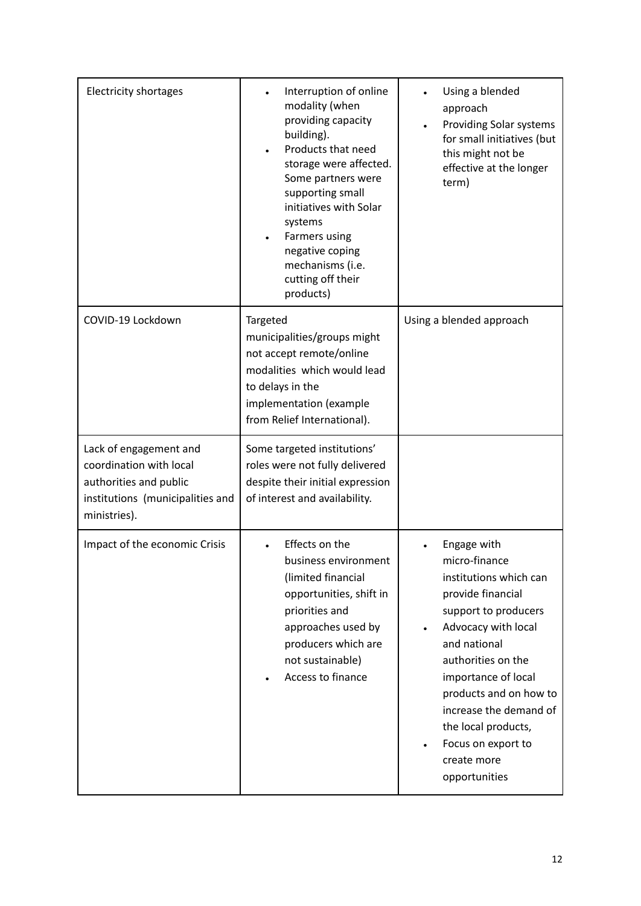| <b>Electricity shortages</b>                                                                                                    | Interruption of online<br>modality (when<br>providing capacity<br>building).<br>Products that need<br>$\bullet$<br>storage were affected.<br>Some partners were<br>supporting small<br>initiatives with Solar<br>systems<br>Farmers using<br>negative coping<br>mechanisms (i.e.<br>cutting off their<br>products) | Using a blended<br>approach<br>Providing Solar systems<br>$\bullet$<br>for small initiatives (but<br>this might not be<br>effective at the longer<br>term)                                                                                                                                                                            |
|---------------------------------------------------------------------------------------------------------------------------------|--------------------------------------------------------------------------------------------------------------------------------------------------------------------------------------------------------------------------------------------------------------------------------------------------------------------|---------------------------------------------------------------------------------------------------------------------------------------------------------------------------------------------------------------------------------------------------------------------------------------------------------------------------------------|
| COVID-19 Lockdown                                                                                                               | Targeted<br>municipalities/groups might<br>not accept remote/online<br>modalities which would lead<br>to delays in the<br>implementation (example<br>from Relief International).                                                                                                                                   | Using a blended approach                                                                                                                                                                                                                                                                                                              |
| Lack of engagement and<br>coordination with local<br>authorities and public<br>institutions (municipalities and<br>ministries). | Some targeted institutions'<br>roles were not fully delivered<br>despite their initial expression<br>of interest and availability.                                                                                                                                                                                 |                                                                                                                                                                                                                                                                                                                                       |
| Impact of the economic Crisis                                                                                                   | Effects on the<br>business environment<br>(limited financial<br>opportunities, shift in<br>priorities and<br>approaches used by<br>producers which are<br>not sustainable)<br>Access to finance                                                                                                                    | Engage with<br>micro-finance<br>institutions which can<br>provide financial<br>support to producers<br>Advocacy with local<br>and national<br>authorities on the<br>importance of local<br>products and on how to<br>increase the demand of<br>the local products,<br>Focus on export to<br>$\bullet$<br>create more<br>opportunities |